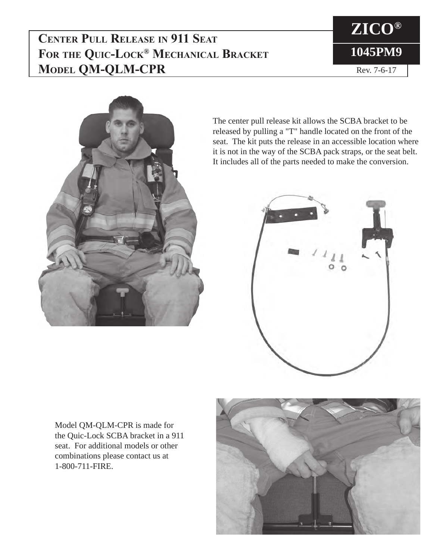## **Center Pull Release in 911 Seat For the Quic-Lock® Mechanical Bracket Model QM-QLM-CPR**





The center pull release kit allows the SCBA bracket to be released by pulling a "T" handle located on the front of the seat. The kit puts the release in an accessible location where it is not in the way of the SCBA pack straps, or the seat belt. It includes all of the parts needed to make the conversion.



Model QM-QLM-CPR is made for the Quic-Lock SCBA bracket in a 911 seat. For additional models or other combinations please contact us at 1-800-711-FIRE.

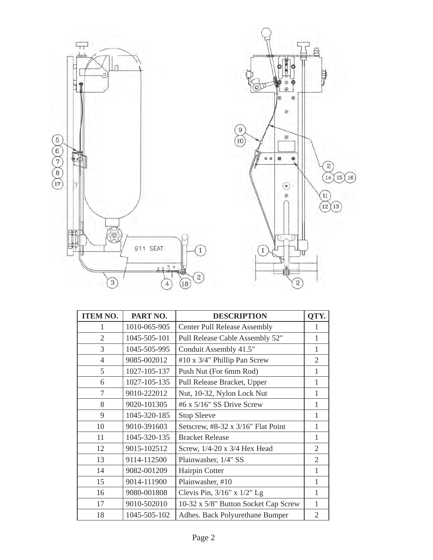



| <b>ITEM NO.</b> | PART NO.     | <b>DESCRIPTION</b>                   | QTY.           |
|-----------------|--------------|--------------------------------------|----------------|
| 1               | 1010-065-905 | <b>Center Pull Release Assembly</b>  | 1              |
| $\overline{2}$  | 1045-505-101 | Pull Release Cable Assembly 52"      | 1              |
| 3               | 1045-505-995 | Conduit Assembly 41.5"               | 1              |
| $\overline{4}$  | 9085-002012  | #10 x 3/4" Phillip Pan Screw         | $\overline{2}$ |
| 5               | 1027-105-137 | Push Nut (For 6mm Rod)               | 1              |
| 6               | 1027-105-135 | Pull Release Bracket, Upper          | 1              |
| 7               | 9010-222012  | Nut, 10-32, Nylon Lock Nut           | 1              |
| 8               | 9020-101305  | #6 x 5/16" SS Drive Screw            | 1              |
| 9               | 1045-320-185 | <b>Stop Sleeve</b>                   | 1              |
| 10              | 9010-391603  | Setscrew, #8-32 x 3/16" Flat Point   | 1              |
| 11              | 1045-320-135 | <b>Bracket Release</b>               | 1              |
| 12              | 9015-102512  | Screw, 1/4-20 x 3/4 Hex Head         | $\overline{2}$ |
| 13              | 9114-112500  | Plainwasher, 1/4" SS                 | $\overline{2}$ |
| 14              | 9082-001209  | Hairpin Cotter                       | 1              |
| 15              | 9014-111900  | Plainwasher, #10                     | 1              |
| 16              | 9080-001808  | Clevis Pin, $3/16$ " x $1/2$ " Lg    | 1              |
| 17              | 9010-502010  | 10-32 x 5/8" Button Socket Cap Screw | 1              |
| 18              | 1045-505-102 | Adhes. Back Polyurethane Bumper      | 2              |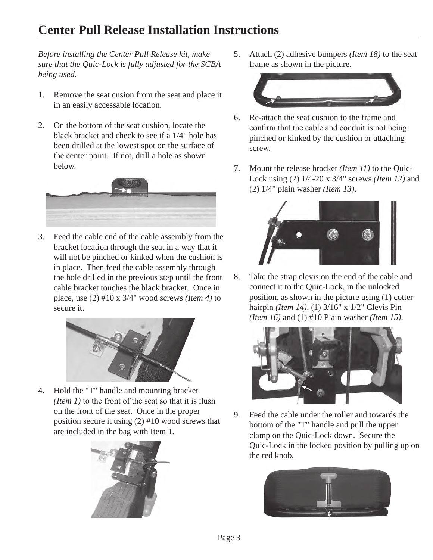## **Center Pull Release Installation Instructions**

*Before installing the Center Pull Release kit, make sure that the Quic-Lock is fully adjusted for the SCBA being used.*

- 1. Remove the seat cusion from the seat and place it in an easily accessable location.
- 2. On the bottom of the seat cushion, locate the black bracket and check to see if a 1/4" hole has been drilled at the lowest spot on the surface of the center point. If not, drill a hole as shown below.



3. Feed the cable end of the cable assembly from the bracket location through the seat in a way that it will not be pinched or kinked when the cushion is in place. Then feed the cable assembly through the hole drilled in the previous step until the front cable bracket touches the black bracket. Once in place, use (2) #10 x 3/4" wood screws *(Item 4)* to secure it.



4. Hold the "T" handle and mounting bracket *(Item 1)* to the front of the seat so that it is flush on the front of the seat. Once in the proper position secure it using (2) #10 wood screws that are included in the bag with Item 1.



5. Attach (2) adhesive bumpers *(Item 18)* to the seat frame as shown in the picture.



- 6. Re-attach the seat cushion to the frame and confirm that the cable and conduit is not being pinched or kinked by the cushion or attaching screw.
- 7. Mount the release bracket *(Item 11)* to the Quic-Lock using (2) 1/4-20 x 3/4" screws *(Item 12)* and (2) 1/4" plain washer *(Item 13)*.



8. Take the strap clevis on the end of the cable and connect it to the Quic-Lock, in the unlocked position, as shown in the picture using (1) cotter hairpin *(Item 14)*, (1) 3/16" x 1/2" Clevis Pin *(Item 16)* and (1) #10 Plain washer *(Item 15)*.



9. Feed the cable under the roller and towards the bottom of the "T" handle and pull the upper clamp on the Quic-Lock down. Secure the Quic-Lock in the locked position by pulling up on the red knob.